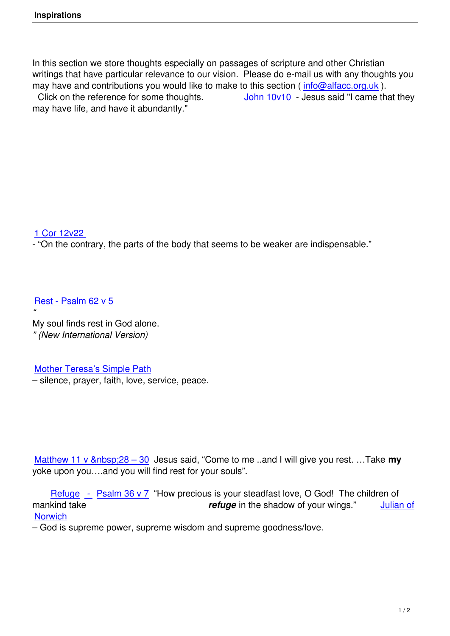In this section we store thoughts especially on passages of scripture and other Christian writings that have particular relevance to our vision. Please do e-mail us with any thoughts you may have and contributions you would like to make to this section (info@alfacc.org.uk). Click on the reference for some thoughts. John 10v10 - Jesus said "I came that they may have life, and have it abundantly."

## 1 Cor 12v22

- "On the contrary, the parts of the body that seems to be weaker are indispensable."

Rest - Psalm 62 v 5

*"* My soul finds rest in God alone. *[" \(New International](index.php?option=com_content&view=article&id=87:ps62&catid=25) Version)*

Mother Teresa's Simple Path

– silence, prayer, faith, love, service, peace.

Matthew 11 v 28 – 30 Jesus said, "Come to me ..and I will give you rest. ... Take my yoke upon you….and you will find rest for your souls".

 Refuge *-* [Psalm 36 v 7](index.php?option=com_content&view=article&id=91:matt11v28&catid=25) "How precious is your steadfast love, O God! The children of mankind take *refuge* in the shadow of your wings." Julian of **Norwich** 

– G[od is supreme power, sup](index.php?option=com_content&view=article&id=88:ps36&catid=25)reme wisdom and supreme goodness/love.